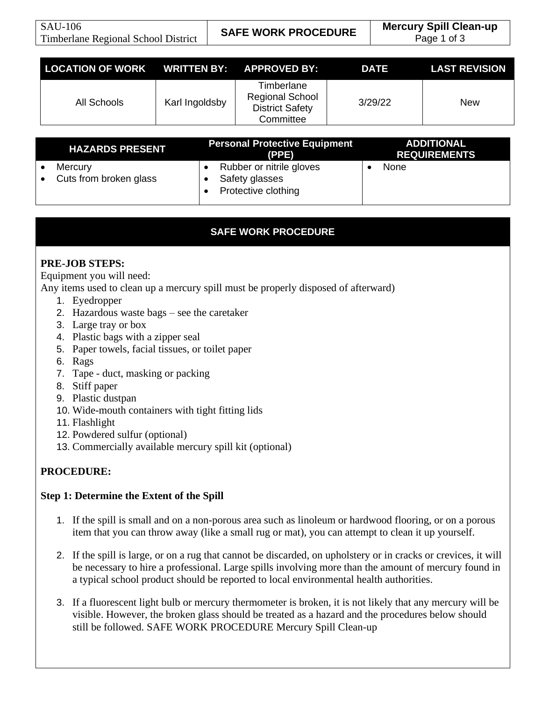| <b>LOCATION OF WORK WRITTEN BY: APPROVED BY:</b> |                |                                                                             | DATE    | <b>LAST REVISION</b> |
|--------------------------------------------------|----------------|-----------------------------------------------------------------------------|---------|----------------------|
| All Schools                                      | Karl Ingoldsby | Timberlane<br><b>Regional School</b><br><b>District Safety</b><br>Committee | 3/29/22 | <b>New</b>           |

| <b>HAZARDS PRESENT</b>                         | <b>Personal Protective Equipment</b><br>(PPE)                     | <b>ADDITIONAL</b><br><b>REQUIREMENTS</b> |
|------------------------------------------------|-------------------------------------------------------------------|------------------------------------------|
| Mercury<br>Cuts from broken glass<br>$\bullet$ | Rubber or nitrile gloves<br>Safety glasses<br>Protective clothing | None                                     |

# **SAFE WORK PROCEDURE**

## **PRE-JOB STEPS:**

Equipment you will need:

Any items used to clean up a mercury spill must be properly disposed of afterward)

- 1. Eyedropper
- 2. Hazardous waste bags see the caretaker
- 3. Large tray or box
- 4. Plastic bags with a zipper seal
- 5. Paper towels, facial tissues, or toilet paper
- 6. Rags
- 7. Tape duct, masking or packing
- 8. Stiff paper
- 9. Plastic dustpan
- 10. Wide-mouth containers with tight fitting lids
- 11. Flashlight
- 12. Powdered sulfur (optional)
- 13. Commercially available mercury spill kit (optional)

## **PROCEDURE:**

### **Step 1: Determine the Extent of the Spill**

- 1. If the spill is small and on a non-porous area such as linoleum or hardwood flooring, or on a porous item that you can throw away (like a small rug or mat), you can attempt to clean it up yourself.
- 2. If the spill is large, or on a rug that cannot be discarded, on upholstery or in cracks or crevices, it will be necessary to hire a professional. Large spills involving more than the amount of mercury found in a typical school product should be reported to local environmental health authorities.
- 3. If a fluorescent light bulb or mercury thermometer is broken, it is not likely that any mercury will be visible. However, the broken glass should be treated as a hazard and the procedures below should still be followed. SAFE WORK PROCEDURE Mercury Spill Clean-up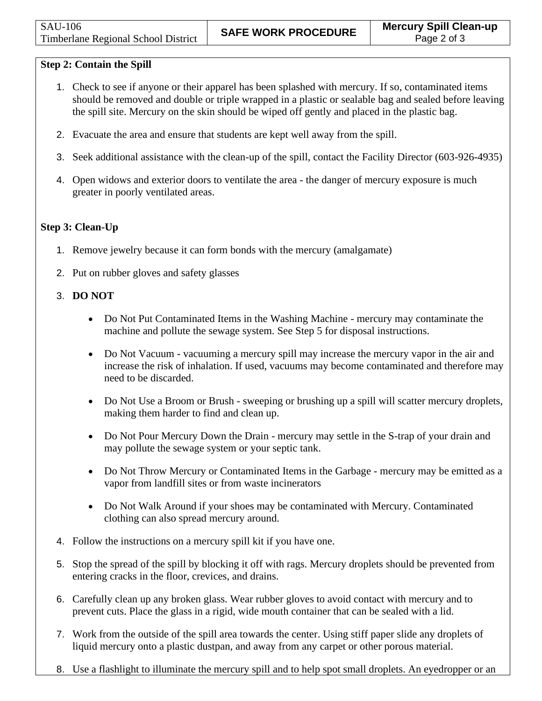## **Step 2: Contain the Spill**

- 1. Check to see if anyone or their apparel has been splashed with mercury. If so, contaminated items should be removed and double or triple wrapped in a plastic or sealable bag and sealed before leaving the spill site. Mercury on the skin should be wiped off gently and placed in the plastic bag.
- 2. Evacuate the area and ensure that students are kept well away from the spill.
- 3. Seek additional assistance with the clean-up of the spill, contact the Facility Director (603-926-4935)
- 4. Open widows and exterior doors to ventilate the area the danger of mercury exposure is much greater in poorly ventilated areas.

### **Step 3: Clean-Up**

- 1. Remove jewelry because it can form bonds with the mercury (amalgamate)
- 2. Put on rubber gloves and safety glasses

### 3. **DO NOT**

- Do Not Put Contaminated Items in the Washing Machine mercury may contaminate the machine and pollute the sewage system. See Step 5 for disposal instructions.
- Do Not Vacuum vacuuming a mercury spill may increase the mercury vapor in the air and increase the risk of inhalation. If used, vacuums may become contaminated and therefore may need to be discarded.
- Do Not Use a Broom or Brush sweeping or brushing up a spill will scatter mercury droplets, making them harder to find and clean up.
- Do Not Pour Mercury Down the Drain mercury may settle in the S-trap of your drain and may pollute the sewage system or your septic tank.
- Do Not Throw Mercury or Contaminated Items in the Garbage mercury may be emitted as a vapor from landfill sites or from waste incinerators
- Do Not Walk Around if your shoes may be contaminated with Mercury. Contaminated clothing can also spread mercury around.
- 4. Follow the instructions on a mercury spill kit if you have one.
- 5. Stop the spread of the spill by blocking it off with rags. Mercury droplets should be prevented from entering cracks in the floor, crevices, and drains.
- 6. Carefully clean up any broken glass. Wear rubber gloves to avoid contact with mercury and to prevent cuts. Place the glass in a rigid, wide mouth container that can be sealed with a lid.
- 7. Work from the outside of the spill area towards the center. Using stiff paper slide any droplets of liquid mercury onto a plastic dustpan, and away from any carpet or other porous material.
- 8. Use a flashlight to illuminate the mercury spill and to help spot small droplets. An eyedropper or an